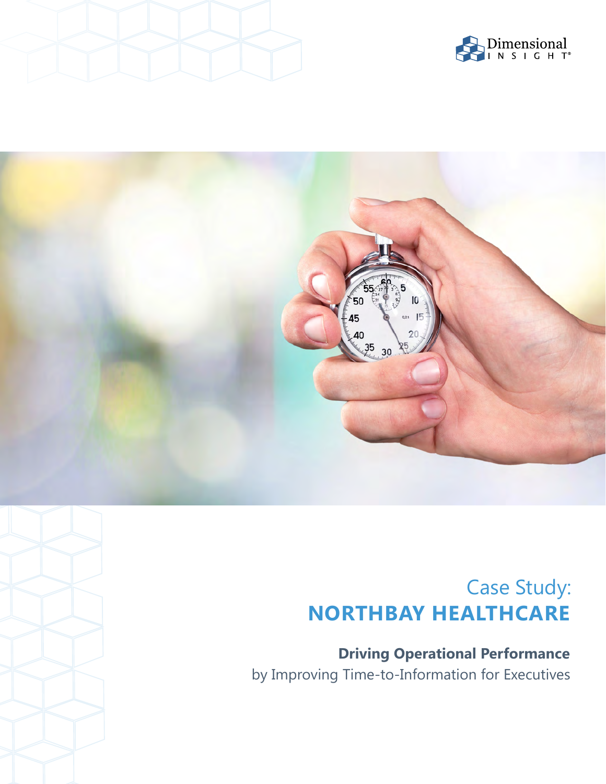





# Case Study: **NORTHBAY HEALTHCARE**

**Driving Operational Performance**  by Improving Time-to-Information for Executives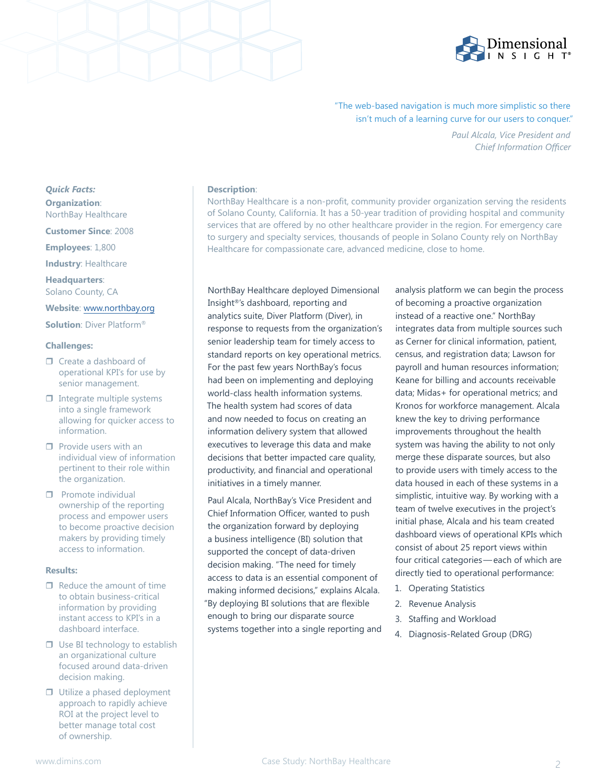

## "The web-based navigation is much more simplistic so there isn't much of a learning curve for our users to conquer."

*Paul Alcala, Vice President and Chief Information Officer*

## *Quick Facts:*  **Organization**:

NorthBay Healthcare

**Customer Since**: 2008

**Employees**: 1,800

**Industry**: Healthcare

**Headquarters**: Solano County, CA

### **Website**: [www.northbay.org](https://www.northbay.org/)

**Solution**: Diver Platform®

#### **Challenges:**

- □ Create a dashboard of operational KPI's for use by senior management.
- $\Box$  Integrate multiple systems into a single framework allowing for quicker access to information.
- $\Box$  Provide users with an individual view of information pertinent to their role within the organization.
- $\Box$  Promote individual ownership of the reporting process and empower users to become proactive decision makers by providing timely access to information.

#### **Results:**

- $\Box$  Reduce the amount of time to obtain business-critical information by providing instant access to KPI's in a dashboard interface.
- $\Box$  Use BI technology to establish an organizational culture focused around data-driven decision making.
- □ Utilize a phased deployment approach to rapidly achieve ROI at the project level to better manage total cost of ownership.

#### **Description**:

NorthBay Healthcare is a non-profit, community provider organization serving the residents of Solano County, California. It has a 50-year tradition of providing hospital and community services that are offered by no other healthcare provider in the region. For emergency care to surgery and specialty services, thousands of people in Solano County rely on NorthBay Healthcare for compassionate care, advanced medicine, close to home.

NorthBay Healthcare deployed Dimensional Insight®'s dashboard, reporting and analytics suite, Diver Platform (Diver), in response to requests from the organization's senior leadership team for timely access to standard reports on key operational metrics. For the past few years NorthBay's focus had been on implementing and deploying world-class health information systems. The health system had scores of data and now needed to focus on creating an information delivery system that allowed executives to leverage this data and make decisions that better impacted care quality, productivity, and financial and operational initiatives in a timely manner.

Paul Alcala, NorthBay's Vice President and Chief Information Officer, wanted to push the organization forward by deploying a business intelligence (BI) solution that supported the concept of data-driven decision making. "The need for timely access to data is an essential component of making informed decisions," explains Alcala. "By deploying BI solutions that are flexible enough to bring our disparate source systems together into a single reporting and analysis platform we can begin the process of becoming a proactive organization instead of a reactive one." NorthBay integrates data from multiple sources such as Cerner for clinical information, patient, census, and registration data; Lawson for payroll and human resources information; Keane for billing and accounts receivable data; Midas+ for operational metrics; and Kronos for workforce management. Alcala knew the key to driving performance improvements throughout the health system was having the ability to not only merge these disparate sources, but also to provide users with timely access to the data housed in each of these systems in a simplistic, intuitive way. By working with a team of twelve executives in the project's initial phase, Alcala and his team created dashboard views of operational KPIs which consist of about 25 report views within four critical categories — each of which are directly tied to operational performance:

- 1. Operating Statistics
- 2. Revenue Analysis
- 3. Staffing and Workload
- 4. Diagnosis-Related Group (DRG)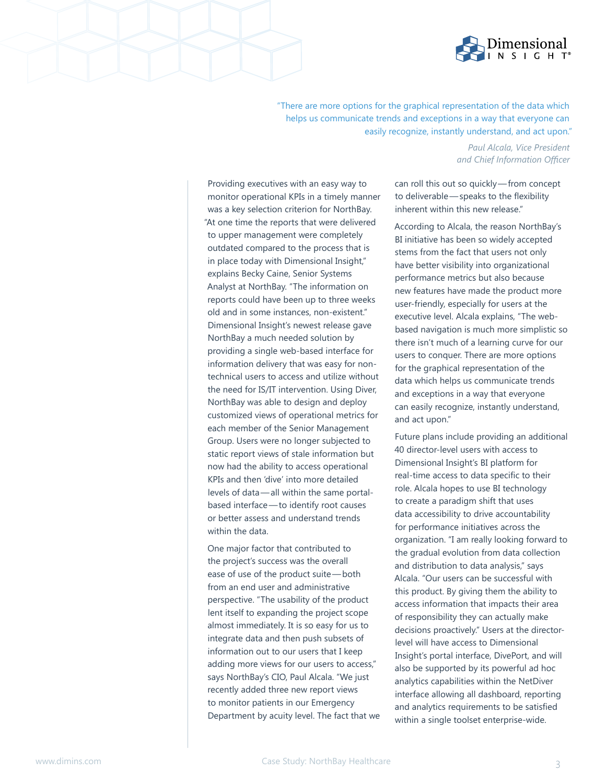

"There are more options for the graphical representation of the data which helps us communicate trends and exceptions in a way that everyone can easily recognize, instantly understand, and act upon."

Providing executives with an easy way to monitor operational KPIs in a timely manner was a key selection criterion for NorthBay. "At one time the reports that were delivered to upper management were completely outdated compared to the process that is in place today with Dimensional Insight," explains Becky Caine, Senior Systems Analyst at NorthBay. "The information on reports could have been up to three weeks old and in some instances, non-existent." Dimensional Insight's newest release gave NorthBay a much needed solution by providing a single web-based interface for information delivery that was easy for nontechnical users to access and utilize without the need for IS/IT intervention. Using Diver, NorthBay was able to design and deploy customized views of operational metrics for each member of the Senior Management Group. Users were no longer subjected to static report views of stale information but now had the ability to access operational KPIs and then 'dive' into more detailed levels of data — all within the same portalbased interface — to identify root causes or better assess and understand trends within the data.

One major factor that contributed to the project's success was the overall ease of use of the product suite-both from an end user and administrative perspective. "The usability of the product lent itself to expanding the project scope almost immediately. It is so easy for us to integrate data and then push subsets of information out to our users that I keep adding more views for our users to access," says NorthBay's CIO, Paul Alcala. "We just recently added three new report views to monitor patients in our Emergency Department by acuity level. The fact that we

### *Paul Alcala, Vice President and Chief Information Officer*

can roll this out so quickly—from concept to deliverable - speaks to the flexibility inherent within this new release."

According to Alcala, the reason NorthBay's BI initiative has been so widely accepted stems from the fact that users not only have better visibility into organizational performance metrics but also because new features have made the product more user-friendly, especially for users at the executive level. Alcala explains, "The webbased navigation is much more simplistic so there isn't much of a learning curve for our users to conquer. There are more options for the graphical representation of the data which helps us communicate trends and exceptions in a way that everyone can easily recognize, instantly understand, and act upon."

Future plans include providing an additional 40 director-level users with access to Dimensional Insight's BI platform for real-time access to data specific to their role. Alcala hopes to use BI technology to create a paradigm shift that uses data accessibility to drive accountability for performance initiatives across the organization. "I am really looking forward to the gradual evolution from data collection and distribution to data analysis," says Alcala. "Our users can be successful with this product. By giving them the ability to access information that impacts their area of responsibility they can actually make decisions proactively." Users at the directorlevel will have access to Dimensional Insight's portal interface, DivePort, and will also be supported by its powerful ad hoc analytics capabilities within the NetDiver interface allowing all dashboard, reporting and analytics requirements to be satisfied within a single toolset enterprise-wide.